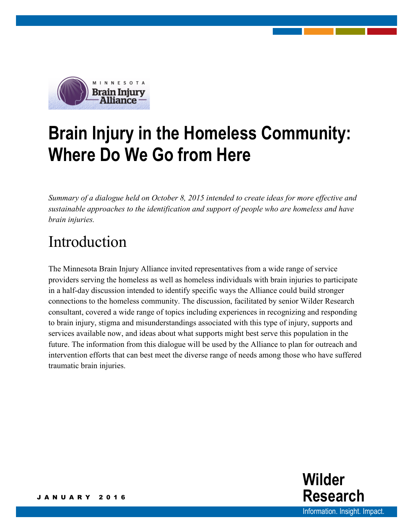

# **Brain Injury in the Homeless Community: Where Do We Go from Here**

*Summary of a dialogue held on October 8, 2015 intended to create ideas for more effective and sustainable approaches to the identification and support of people who are homeless and have brain injuries.*

## Introduction

The Minnesota Brain Injury Alliance invited representatives from a wide range of service providers serving the homeless as well as homeless individuals with brain injuries to participate in a half-day discussion intended to identify specific ways the Alliance could build stronger connections to the homeless community. The discussion, facilitated by senior Wilder Research consultant, covered a wide range of topics including experiences in recognizing and responding to brain injury, stigma and misunderstandings associated with this type of injury, supports and services available now, and ideas about what supports might best serve this population in the future. The information from this dialogue will be used by the Alliance to plan for outreach and intervention efforts that can best meet the diverse range of needs among those who have suffered traumatic brain injuries.

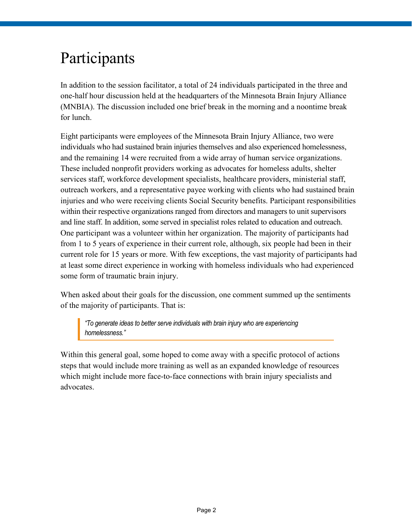### Participants

In addition to the session facilitator, a total of 24 individuals participated in the three and one-half hour discussion held at the headquarters of the Minnesota Brain Injury Alliance (MNBIA). The discussion included one brief break in the morning and a noontime break for lunch.

Eight participants were employees of the Minnesota Brain Injury Alliance, two were individuals who had sustained brain injuries themselves and also experienced homelessness, and the remaining 14 were recruited from a wide array of human service organizations. These included nonprofit providers working as advocates for homeless adults, shelter services staff, workforce development specialists, healthcare providers, ministerial staff, outreach workers, and a representative payee working with clients who had sustained brain injuries and who were receiving clients Social Security benefits. Participant responsibilities within their respective organizations ranged from directors and managers to unit supervisors and line staff. In addition, some served in specialist roles related to education and outreach. One participant was a volunteer within her organization. The majority of participants had from 1 to 5 years of experience in their current role, although, six people had been in their current role for 15 years or more. With few exceptions, the vast majority of participants had at least some direct experience in working with homeless individuals who had experienced some form of traumatic brain injury.

When asked about their goals for the discussion, one comment summed up the sentiments of the majority of participants. That is:

*"To generate ideas to better serve individuals with brain injury who are experiencing homelessness."* 

Within this general goal, some hoped to come away with a specific protocol of actions steps that would include more training as well as an expanded knowledge of resources which might include more face-to-face connections with brain injury specialists and advocates.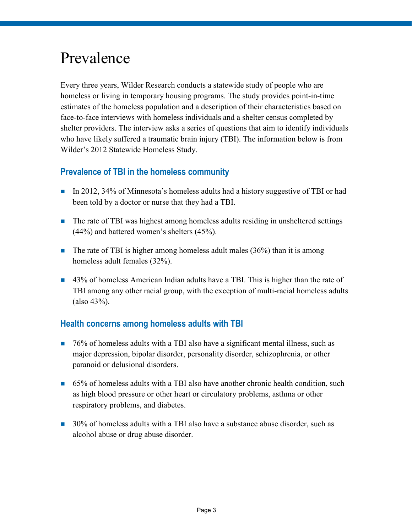### Prevalence

Every three years, Wilder Research conducts a statewide study of people who are homeless or living in temporary housing programs. The study provides point-in-time estimates of the homeless population and a description of their characteristics based on face-to-face interviews with homeless individuals and a shelter census completed by shelter providers. The interview asks a series of questions that aim to identify individuals who have likely suffered a traumatic brain injury (TBI). The information below is from Wilder's 2012 Statewide Homeless Study.

### **Prevalence of TBI in the homeless community**

- In 2012, 34% of Minnesota's homeless adults had a history suggestive of TBI or had been told by a doctor or nurse that they had a TBI.
- The rate of TBI was highest among homeless adults residing in unsheltered settings (44%) and battered women's shelters (45%).
- The rate of TBI is higher among homeless adult males  $(36%)$  than it is among homeless adult females (32%).
- 43% of homeless American Indian adults have a TBI. This is higher than the rate of TBI among any other racial group, with the exception of multi-racial homeless adults (also 43%).

#### **Health concerns among homeless adults with TBI**

- 76% of homeless adults with a TBI also have a significant mental illness, such as major depression, bipolar disorder, personality disorder, schizophrenia, or other paranoid or delusional disorders.
- 65% of homeless adults with a TBI also have another chronic health condition, such as high blood pressure or other heart or circulatory problems, asthma or other respiratory problems, and diabetes.
- **30%** of homeless adults with a TBI also have a substance abuse disorder, such as alcohol abuse or drug abuse disorder.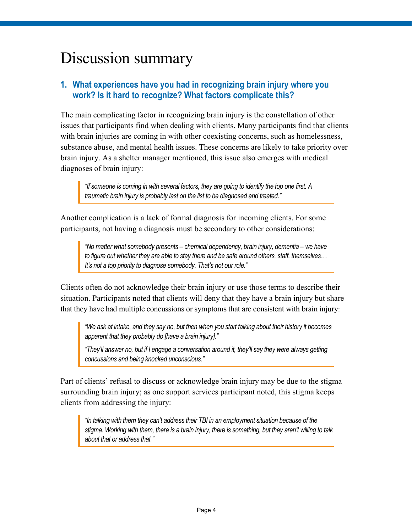### Discussion summary

### **1. What experiences have you had in recognizing brain injury where you work? Is it hard to recognize? What factors complicate this?**

The main complicating factor in recognizing brain injury is the constellation of other issues that participants find when dealing with clients. Many participants find that clients with brain injuries are coming in with other coexisting concerns, such as homelessness, substance abuse, and mental health issues. These concerns are likely to take priority over brain injury. As a shelter manager mentioned, this issue also emerges with medical diagnoses of brain injury:

*"If someone is coming in with several factors, they are going to identify the top one first. A traumatic brain injury is probably last on the list to be diagnosed and treated."*

Another complication is a lack of formal diagnosis for incoming clients. For some participants, not having a diagnosis must be secondary to other considerations:

*"No matter what somebody presents – chemical dependency, brain injury, dementia – we have to figure out whether they are able to stay there and be safe around others, staff, themselves… It's not a top priority to diagnose somebody. That's not our role."* 

Clients often do not acknowledge their brain injury or use those terms to describe their situation. Participants noted that clients will deny that they have a brain injury but share that they have had multiple concussions or symptoms that are consistent with brain injury:

*"We ask at intake, and they say no, but then when you start talking about their history it becomes apparent that they probably do [have a brain injury]."*

*"They'll answer no, but if I engage a conversation around it, they'll say they were always getting concussions and being knocked unconscious."*

Part of clients' refusal to discuss or acknowledge brain injury may be due to the stigma surrounding brain injury; as one support services participant noted, this stigma keeps clients from addressing the injury:

*"In talking with them they can't address their TBI in an employment situation because of the stigma. Working with them, there is a brain injury, there is something, but they aren't willing to talk about that or address that."*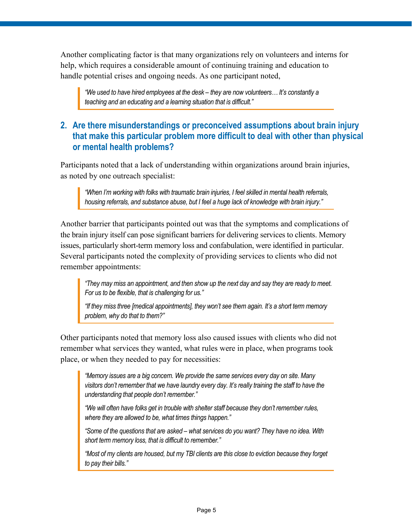Another complicating factor is that many organizations rely on volunteers and interns for help, which requires a considerable amount of continuing training and education to handle potential crises and ongoing needs. As one participant noted,

*"We used to have hired employees at the desk – they are now volunteers… It's constantly a teaching and an educating and a learning situation that is difficult."*

#### **2. Are there misunderstandings or preconceived assumptions about brain injury that make this particular problem more difficult to deal with other than physical or mental health problems?**

Participants noted that a lack of understanding within organizations around brain injuries, as noted by one outreach specialist:

*"When I'm working with folks with traumatic brain injuries, I feel skilled in mental health referrals, housing referrals, and substance abuse, but I feel a huge lack of knowledge with brain injury."* 

Another barrier that participants pointed out was that the symptoms and complications of the brain injury itself can pose significant barriers for delivering services to clients. Memory issues, particularly short-term memory loss and confabulation, were identified in particular. Several participants noted the complexity of providing services to clients who did not remember appointments:

*"They may miss an appointment, and then show up the next day and say they are ready to meet. For us to be flexible, that is challenging for us."*

*"If they miss three [medical appointments], they won't see them again. It's a short term memory problem, why do that to them?"*

Other participants noted that memory loss also caused issues with clients who did not remember what services they wanted, what rules were in place, when programs took place, or when they needed to pay for necessities:

*"Memory issues are a big concern. We provide the same services every day on site. Many visitors don't remember that we have laundry every day. It's really training the staff to have the understanding that people don't remember."*

*"We will often have folks get in trouble with shelter staff because they don't remember rules, where they are allowed to be, what times things happen."*

*"Some of the questions that are asked – what services do you want? They have no idea. With short term memory loss, that is difficult to remember."*

*"Most of my clients are housed, but my TBI clients are this close to eviction because they forget to pay their bills."*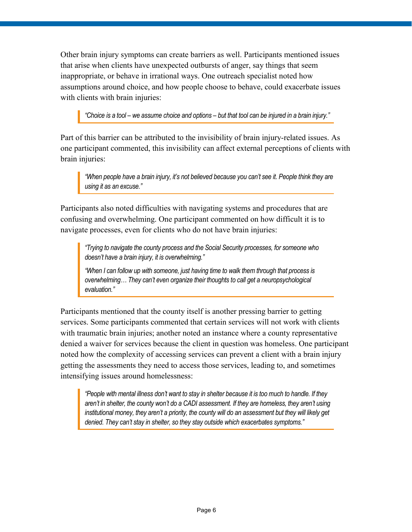Other brain injury symptoms can create barriers as well. Participants mentioned issues that arise when clients have unexpected outbursts of anger, say things that seem inappropriate, or behave in irrational ways. One outreach specialist noted how assumptions around choice, and how people choose to behave, could exacerbate issues with clients with brain injuries:

*"Choice is a tool – we assume choice and options – but that tool can be injured in a brain injury."*

Part of this barrier can be attributed to the invisibility of brain injury-related issues. As one participant commented, this invisibility can affect external perceptions of clients with brain injuries:

*"When people have a brain injury, it's not believed because you can't see it. People think they are using it as an excuse."* 

Participants also noted difficulties with navigating systems and procedures that are confusing and overwhelming. One participant commented on how difficult it is to navigate processes, even for clients who do not have brain injuries:

*"Trying to navigate the county process and the Social Security processes, for someone who doesn't have a brain injury, it is overwhelming."*

*"When I can follow up with someone, just having time to walk them through that process is overwhelming… They can't even organize their thoughts to call get a neuropsychological evaluation."* 

Participants mentioned that the county itself is another pressing barrier to getting services. Some participants commented that certain services will not work with clients with traumatic brain injuries; another noted an instance where a county representative denied a waiver for services because the client in question was homeless. One participant noted how the complexity of accessing services can prevent a client with a brain injury getting the assessments they need to access those services, leading to, and sometimes intensifying issues around homelessness:

*"People with mental illness don't want to stay in shelter because it is too much to handle. If they aren't in shelter, the county won't do a CADI assessment. If they are homeless, they aren't using institutional money, they aren't a priority, the county will do an assessment but they will likely get denied. They can't stay in shelter, so they stay outside which exacerbates symptoms."*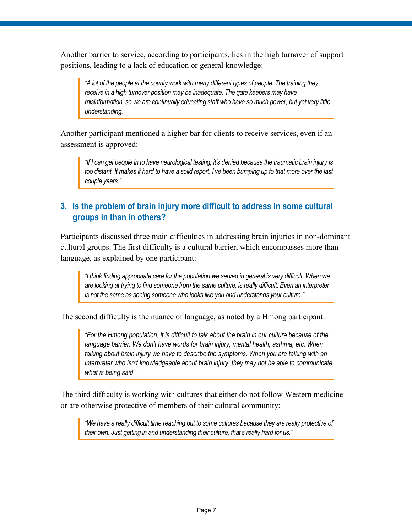Another barrier to service, according to participants, lies in the high turnover of support positions, leading to a lack of education or general knowledge:

*"A lot of the people at the county work with many different types of people. The training they*  receive in a high turnover position may be inadequate. The gate keepers may have *misinformation, so we are continually educating staff who have so much power, but yet very little understanding."*

Another participant mentioned a higher bar for clients to receive services, even if an assessment is approved:

*"If I can get people in to have neurological testing, it's denied because the traumatic brain injury is too distant. It makes it hard to have a solid report. I've been bumping up to that more over the last couple years."*

### **3. Is the problem of brain injury more difficult to address in some cultural groups in than in others?**

Participants discussed three main difficulties in addressing brain injuries in non-dominant cultural groups. The first difficulty is a cultural barrier, which encompasses more than language, as explained by one participant:

*"I think finding appropriate care for the population we served in general is very difficult. When we are looking at trying to find someone from the same culture, is really difficult. Even an interpreter is not the same as seeing someone who looks like you and understands your culture."*

The second difficulty is the nuance of language, as noted by a Hmong participant:

*"For the Hmong population, it is difficult to talk about the brain in our culture because of the*  language barrier. We don't have words for brain injury, mental health, asthma, etc. When *talking about brain injury we have to describe the symptoms. When you are talking with an interpreter who isn't knowledgeable about brain injury, they may not be able to communicate what is being said."*

The third difficulty is working with cultures that either do not follow Western medicine or are otherwise protective of members of their cultural community:

*"We have a really difficult time reaching out to some cultures because they are really protective of their own. Just getting in and understanding their culture, that's really hard for us."*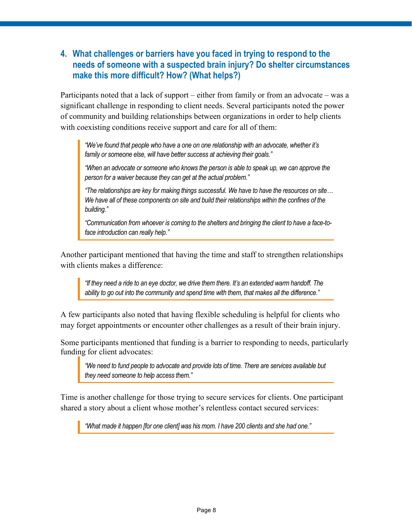### **4. What challenges or barriers have you faced in trying to respond to the needs of someone with a suspected brain injury? Do shelter circumstances make this more difficult? How? (What helps?)**

Participants noted that a lack of support – either from family or from an advocate – was a significant challenge in responding to client needs. Several participants noted the power of community and building relationships between organizations in order to help clients with coexisting conditions receive support and care for all of them:

*"We've found that people who have a one on one relationship with an advocate, whether it's family or someone else, will have better success at achieving their goals."*

*"When an advocate or someone who knows the person is able to speak up, we can approve the person for a waiver because they can get at the actual problem."*

*"The relationships are key for making things successful. We have to have the resources on site… We have all of these components on site and build their relationships within the confines of the building."*

*"Communication from whoever is coming to the shelters and bringing the client to have a face-toface introduction can really help."*

Another participant mentioned that having the time and staff to strengthen relationships with clients makes a difference:

*"If they need a ride to an eye doctor, we drive them there. It's an extended warm handoff. The ability to go out into the community and spend time with them, that makes all the difference."*

A few participants also noted that having flexible scheduling is helpful for clients who may forget appointments or encounter other challenges as a result of their brain injury.

Some participants mentioned that funding is a barrier to responding to needs, particularly funding for client advocates:

*"We need to fund people to advocate and provide lots of time. There are services available but they need someone to help access them."*

Time is another challenge for those trying to secure services for clients. One participant shared a story about a client whose mother's relentless contact secured services:

*"What made it happen [for one client] was his mom. I have 200 clients and she had one."*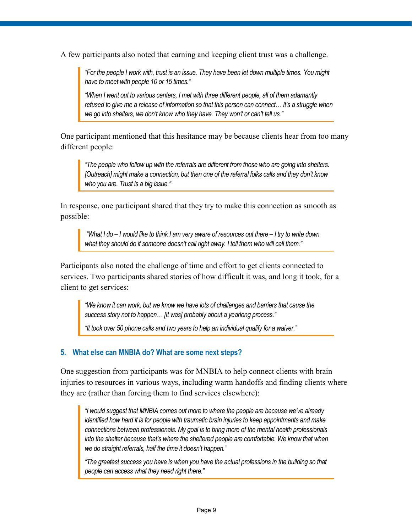A few participants also noted that earning and keeping client trust was a challenge.

*"For the people I work with, trust is an issue. They have been let down multiple times. You might have to meet with people 10 or 15 times."* 

*"When I went out to various centers, I met with three different people, all of them adamantly refused to give me a release of information so that this person can connect… It's a struggle when we go into shelters, we don't know who they have. They won't or can't tell us."*

One participant mentioned that this hesitance may be because clients hear from too many different people:

*"The people who follow up with the referrals are different from those who are going into shelters. [Outreach] might make a connection, but then one of the referral folks calls and they don't know who you are. Trust is a big issue."*

In response, one participant shared that they try to make this connection as smooth as possible:

*"What I do – I would like to think I am very aware of resources out there – I try to write down what they should do if someone doesn't call right away. I tell them who will call them."* 

Participants also noted the challenge of time and effort to get clients connected to services. Two participants shared stories of how difficult it was, and long it took, for a client to get services:

*"We know it can work, but we know we have lots of challenges and barriers that cause the success story not to happen… [It was] probably about a yearlong process."* 

*"It took over 50 phone calls and two years to help an individual qualify for a waiver."* 

#### **5. What else can MNBIA do? What are some next steps?**

One suggestion from participants was for MNBIA to help connect clients with brain injuries to resources in various ways, including warm handoffs and finding clients where they are (rather than forcing them to find services elsewhere):

*"I would suggest that MNBIA comes out more to where the people are because we've already identified how hard it is for people with traumatic brain injuries to keep appointments and make connections between professionals. My goal is to bring more of the mental health professionals into the shelter because that's where the sheltered people are comfortable. We know that when we do straight referrals, half the time it doesn't happen."* 

*"The greatest success you have is when you have the actual professions in the building so that people can access what they need right there."*